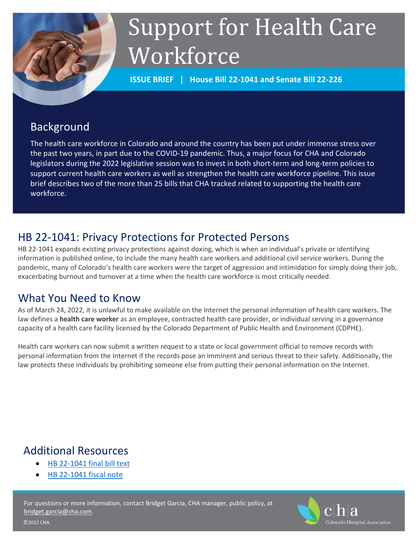

# Support for Health Care **Workforce**

**ISSUE BRIEF | House Bill 22-1041 and Senate Bill 22-226**

# Background

The health care workforce in Colorado and around the country has been put under immense stress over the past two years, in part due to the COVID-19 pandemic. Thus, a major focus for CHA and Colorado legislators during the 2022 legislative session was to invest in both short-term and long-term policies to support current health care workers as well as strengthen the health care workforce pipeline. This issue brief describes two of the more than 25 bills that CHA tracked related to supporting the health care workforce.

# HB 22-1041: Privacy Protections for Protected Persons

HB 22-1041 expands existing privacy protections against doxing, which is when an individual's private or identifying information is published online, to include the many health care workers and additional civil service workers. During the pandemic, many of Colorado's health care workers were the target of aggression and intimidation for simply doing their job, exacerbating burnout and turnover at a time when the health care workforce is most critically needed.

## What You Need to Know

As of March 24, 2022, it is unlawful to make available on the Internet the personal information of health care workers. The law defines a **health care worker** as an employee, contracted health care provider, or individual serving in a governance capacity of a health care facility licensed by the Colorado Department of Public Health and Environment (CDPHE).

Health care workers can now submit a written request to a state or local government official to remove records with personal information from the Internet if the records pose an imminent and serious threat to their safety. Additionally, the law protects these individuals by prohibiting someone else from putting their personal information on the Internet.

# Additional Resources

- [HB 22-1041 final bill text](http://leg.colorado.gov/sites/default/files/2022a_1041_signed.pdf)
- [HB 22-1041 fiscal note](http://leg.colorado.gov/sites/default/files/documents/2022A/bills/fn/2022a_hb1041_r2.pdf)

For questions or more information, contact Bridget Garcia, CHA manager, public policy, at [bridget.garcia@cha.com.](mailto:bridget.garcia@cha.com) 

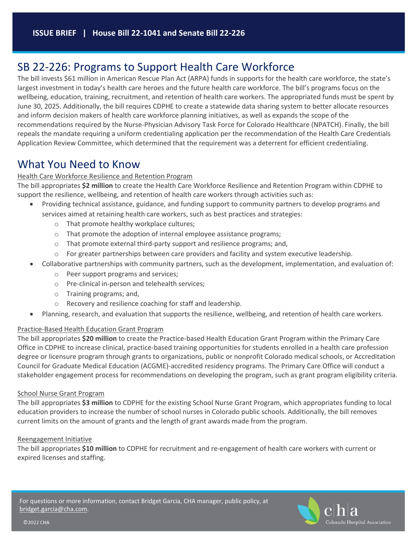## SB 22-226: Programs to Support Health Care Workforce

The bill invests \$61 million in American Rescue Plan Act (ARPA) funds in supports for the health care workforce, the state's largest investment in today's health care heroes and the future health care workforce. The bill's programs focus on the wellbeing, education, training, recruitment, and retention of health care workers. The appropriated funds must be spent by June 30, 2025. Additionally, the bill requires CDPHE to create a statewide data sharing system to better allocate resources and inform decision makers of health care workforce planning initiatives, as well as expands the scope of the recommendations required by the Nurse-Physician Advisory Task Force for Colorado Healthcare (NPATCH). Finally, the bill repeals the mandate requiring a uniform credentialing application per the recommendation of the Health Care Credentials Application Review Committee, which determined that the requirement was a deterrent for efficient credentialing.

### What You Need to Know

#### Health Care Workforce Resilience and Retention Program

The bill appropriates **\$2 million** to create the Health Care Workforce Resilience and Retention Program within CDPHE to support the resilience, wellbeing, and retention of health care workers through activities such as:

- Providing technical assistance, guidance, and funding support to community partners to develop programs and services aimed at retaining health care workers, such as best practices and strategies:
	- o That promote healthy workplace cultures;
	- o That promote the adoption of internal employee assistance programs;
	- o That promote external third-party support and resilience programs; and,
	- $\circ$  For greater partnerships between care providers and facility and system executive leadership.
- Collaborative partnerships with community partners, such as the development, implementation, and evaluation of:
	- o Peer support programs and services;
	- o Pre-clinical in-person and telehealth services;
	- o Training programs; and,
	- o Recovery and resilience coaching for staff and leadership.
- Planning, research, and evaluation that supports the resilience, wellbeing, and retention of health care workers.

#### Practice-Based Health Education Grant Program

The bill appropriates **\$20 million** to create the Practice-based Health Education Grant Program within the Primary Care Office in CDPHE to increase clinical, practice-based training opportunities for students enrolled in a health care profession degree or licensure program through grants to organizations, public or nonprofit Colorado medical schools, or Accreditation Council for Graduate Medical Education (ACGME)-accredited residency programs. The Primary Care Office will conduct a stakeholder engagement process for recommendations on developing the program, such as grant program eligibility criteria.

#### School Nurse Grant Program

The bill appropriates **\$3 million** to CDPHE for the existing School Nurse Grant Program, which appropriates funding to local education providers to increase the number of school nurses in Colorado public schools. Additionally, the bill removes current limits on the amount of grants and the length of grant awards made from the program.

#### Reengagement Initiative

The bill appropriates **\$10 million** to CDPHE for recruitment and re-engagement of health care workers with current or expired licenses and staffing.